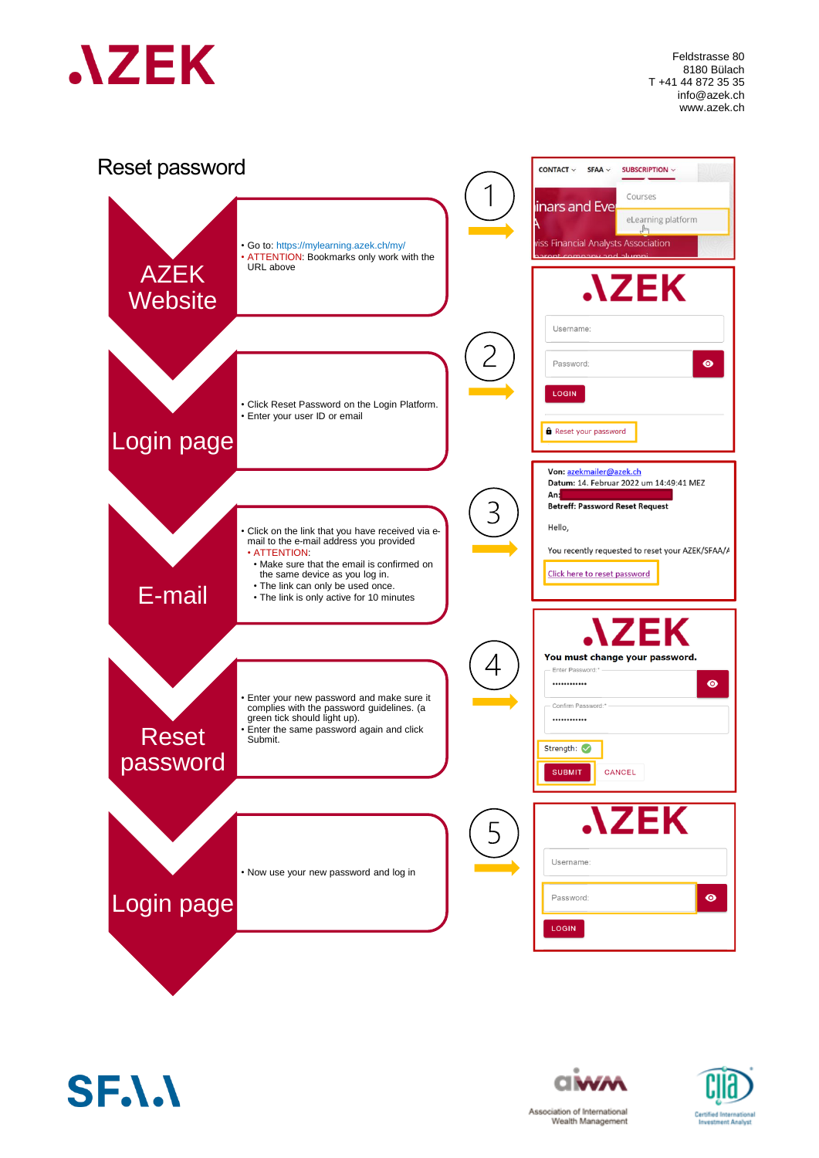

Feldstrasse 80 8180 Bülach T +41 44 872 35 35 info@azek.ch www.azek.ch